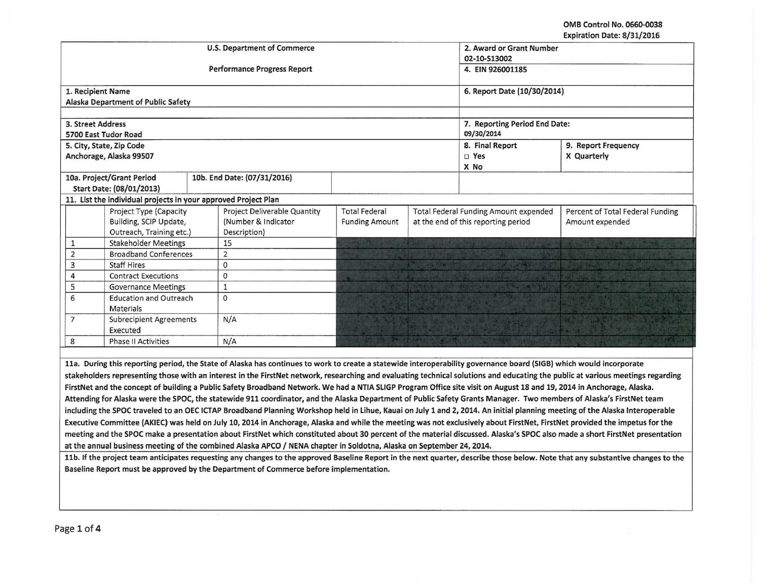OMB Control No. 0660-0038 Expiration Date: 8/31/2016

|                                                  |                                                                |  |                                                                                                                                                                       |                       |                                     |                                                                           | EXPITATION DATE: 0/31/2010                                                                                                                                                      |  |  |
|--------------------------------------------------|----------------------------------------------------------------|--|-----------------------------------------------------------------------------------------------------------------------------------------------------------------------|-----------------------|-------------------------------------|---------------------------------------------------------------------------|---------------------------------------------------------------------------------------------------------------------------------------------------------------------------------|--|--|
|                                                  |                                                                |  | <b>U.S. Department of Commerce</b>                                                                                                                                    |                       |                                     | 2. Award or Grant Number                                                  |                                                                                                                                                                                 |  |  |
|                                                  |                                                                |  |                                                                                                                                                                       |                       | 02-10-S13002                        |                                                                           |                                                                                                                                                                                 |  |  |
|                                                  |                                                                |  | <b>Performance Progress Report</b>                                                                                                                                    |                       |                                     | 4. EIN 926001185                                                          |                                                                                                                                                                                 |  |  |
| 1. Recipient Name                                |                                                                |  |                                                                                                                                                                       |                       |                                     | 6. Report Date (10/30/2014)                                               |                                                                                                                                                                                 |  |  |
|                                                  | Alaska Department of Public Safety                             |  |                                                                                                                                                                       |                       |                                     |                                                                           |                                                                                                                                                                                 |  |  |
|                                                  |                                                                |  |                                                                                                                                                                       |                       |                                     |                                                                           |                                                                                                                                                                                 |  |  |
| 3. Street Address                                |                                                                |  |                                                                                                                                                                       |                       |                                     | 7. Reporting Period End Date:                                             |                                                                                                                                                                                 |  |  |
|                                                  | 5700 East Tudor Road                                           |  |                                                                                                                                                                       |                       |                                     | 09/30/2014                                                                |                                                                                                                                                                                 |  |  |
|                                                  | 5. City, State, Zip Code                                       |  |                                                                                                                                                                       |                       |                                     | 8. Final Report                                                           | 9. Report Frequency                                                                                                                                                             |  |  |
|                                                  | Anchorage, Alaska 99507                                        |  |                                                                                                                                                                       |                       |                                     | $\square$ Yes                                                             | X Quarterly                                                                                                                                                                     |  |  |
|                                                  |                                                                |  |                                                                                                                                                                       |                       |                                     | X No                                                                      |                                                                                                                                                                                 |  |  |
|                                                  | 10a. Project/Grant Period                                      |  | 10b. End Date: (07/31/2016)                                                                                                                                           |                       |                                     |                                                                           |                                                                                                                                                                                 |  |  |
|                                                  | Start Date: (08/01/2013)                                       |  |                                                                                                                                                                       |                       |                                     |                                                                           |                                                                                                                                                                                 |  |  |
|                                                  | 11. List the individual projects in your approved Project Plan |  |                                                                                                                                                                       |                       |                                     |                                                                           |                                                                                                                                                                                 |  |  |
|                                                  | Project Type (Capacity                                         |  | Project Deliverable Quantity<br><b>Total Federal</b>                                                                                                                  |                       |                                     | Total Federal Funding Amount expended<br>Percent of Total Federal Funding |                                                                                                                                                                                 |  |  |
|                                                  | Building, SCIP Update,                                         |  | (Number & Indicator                                                                                                                                                   | <b>Funding Amount</b> | at the end of this reporting period |                                                                           | Amount expended                                                                                                                                                                 |  |  |
|                                                  | Outreach, Training etc.)                                       |  | Description)                                                                                                                                                          |                       |                                     |                                                                           |                                                                                                                                                                                 |  |  |
| $\mathbf{1}$                                     | <b>Stakeholder Meetings</b>                                    |  | 15                                                                                                                                                                    |                       |                                     |                                                                           |                                                                                                                                                                                 |  |  |
| $\overline{2}$                                   | <b>Broadband Conferences</b>                                   |  | $\overline{2}$                                                                                                                                                        |                       |                                     |                                                                           |                                                                                                                                                                                 |  |  |
| 3                                                | <b>Staff Hires</b>                                             |  | $\mathbf{O}$                                                                                                                                                          |                       |                                     |                                                                           |                                                                                                                                                                                 |  |  |
| $\overline{4}$                                   | <b>Contract Executions</b>                                     |  | $\mathbf{O}$                                                                                                                                                          |                       |                                     |                                                                           |                                                                                                                                                                                 |  |  |
| 5                                                | <b>Governance Meetings</b>                                     |  | $\mathbf{1}$                                                                                                                                                          |                       |                                     |                                                                           |                                                                                                                                                                                 |  |  |
| 6<br><b>Education and Outreach</b><br>Materials  |                                                                |  | $\Omega$                                                                                                                                                              |                       |                                     |                                                                           |                                                                                                                                                                                 |  |  |
| $\overline{7}$<br><b>Subrecipient Agreements</b> |                                                                |  | N/A                                                                                                                                                                   |                       |                                     |                                                                           |                                                                                                                                                                                 |  |  |
| Executed                                         |                                                                |  |                                                                                                                                                                       |                       |                                     |                                                                           |                                                                                                                                                                                 |  |  |
| 8                                                | <b>Phase II Activities</b>                                     |  | N/A                                                                                                                                                                   |                       | <b>TITULOR</b>                      |                                                                           |                                                                                                                                                                                 |  |  |
|                                                  |                                                                |  |                                                                                                                                                                       |                       |                                     |                                                                           |                                                                                                                                                                                 |  |  |
|                                                  |                                                                |  | 11a. During this reporting period, the State of Alaska has continues to work to create a statewide interoperability governance board (SIGB) which would incorporate   |                       |                                     |                                                                           |                                                                                                                                                                                 |  |  |
|                                                  |                                                                |  |                                                                                                                                                                       |                       |                                     |                                                                           | stakeholders representing those with an interest in the FirstNet network, researching and evaluating technical solutions and educating the public at various meetings regarding |  |  |
|                                                  |                                                                |  | FirstNet and the concept of building a Public Safety Broadband Network. We had a NTIA SLIGP Program Office site visit on August 18 and 19, 2014 in Anchorage, Alaska. |                       |                                     |                                                                           |                                                                                                                                                                                 |  |  |
|                                                  |                                                                |  | Attending for Alaska were the SPOC, the statewide 911 coordinator, and the Alaska Department of Public Safety Grants Manager. Two members of Alaska's FirstNet team   |                       |                                     |                                                                           |                                                                                                                                                                                 |  |  |
|                                                  |                                                                |  |                                                                                                                                                                       |                       |                                     |                                                                           | including the SPOC traveled to an OEC ICTAP Broadband Planning Workshop held in Lihue, Kauai on July 1 and 2, 2014. An initial planning meeting of the Alaska Interoperable     |  |  |

Executive Committee (AKIEC) was held on July 10, 2014 in Anchorage, Alaska and while the meeting was not exclusively about FirstNet, FirstNet provided the impetus for the meeting and the SPOC make a presentation about FirstNet which constituted about 30 percent of the material discussed. Alaska's SPOC also made a short FirstNet presentation at the annual business meeting of the combined Alaska APCO / NENA chapter in Soldotna, Alaska on September 24, 2014.

11b. If the project team anticipates requesting any changes to the approved Baseline Report in the next quarter, describe those below. Note that any substantive changes to the Baseline Report must be approved by the Department of Commerce before implementation.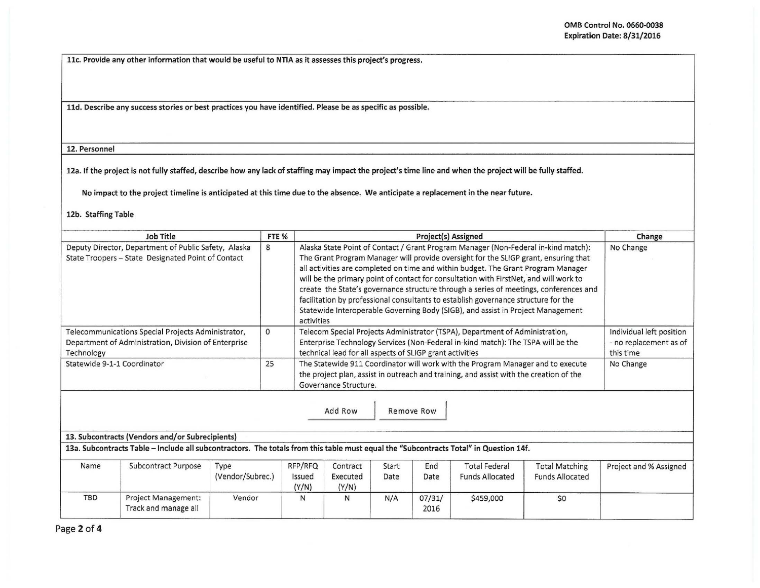llc. Provide any other information that would be useful to NTIA as it assesses this project's progress.

lld. Describe any success stories or best practices you have identified. Please be as specific as possible.

12. Personnel

12a. If the project is not fully staffed, describe how any lack of staffing may impact the project's time line and when the project will be fully staffed.

No impact to the project timeline is anticipated at this time due to the absence. We anticipate a replacement in the near future.

## 12b. Staffing Table

| <b>Job Title</b>                                                                                                         | FTE <sub>%</sub> | <b>Project(s) Assigned</b>                                                                                                                                                                                                                                                                                                                                                                                                                                                                                                                                                                                                              | Change                                                          |
|--------------------------------------------------------------------------------------------------------------------------|------------------|-----------------------------------------------------------------------------------------------------------------------------------------------------------------------------------------------------------------------------------------------------------------------------------------------------------------------------------------------------------------------------------------------------------------------------------------------------------------------------------------------------------------------------------------------------------------------------------------------------------------------------------------|-----------------------------------------------------------------|
| Deputy Director, Department of Public Safety, Alaska<br>State Troopers - State Designated Point of Contact               | 8                | Alaska State Point of Contact / Grant Program Manager (Non-Federal in-kind match):<br>The Grant Program Manager will provide oversight for the SLIGP grant, ensuring that<br>all activities are completed on time and within budget. The Grant Program Manager<br>will be the primary point of contact for consultation with FirstNet, and will work to<br>create the State's governance structure through a series of meetings, conferences and<br>facilitation by professional consultants to establish governance structure for the<br>Statewide Interoperable Governing Body (SIGB), and assist in Project Management<br>activities | No Change                                                       |
| Telecommunications Special Projects Administrator,<br>Department of Administration, Division of Enterprise<br>Technology |                  | Telecom Special Projects Administrator (TSPA), Department of Administration,<br>Enterprise Technology Services (Non-Federal in-kind match): The TSPA will be the<br>technical lead for all aspects of SLIGP grant activities                                                                                                                                                                                                                                                                                                                                                                                                            | Individual left position<br>- no replacement as of<br>this time |
| Statewide 9-1-1 Coordinator                                                                                              | 25               | The Statewide 911 Coordinator will work with the Program Manager and to execute<br>the project plan, assist in outreach and training, and assist with the creation of the<br>Governance Structure.                                                                                                                                                                                                                                                                                                                                                                                                                                      | No Change                                                       |
|                                                                                                                          |                  | Add Row<br>Remove Row                                                                                                                                                                                                                                                                                                                                                                                                                                                                                                                                                                                                                   |                                                                 |

| $\sim$ 200 contracts (vehuors and/or subrecipients)                                                                                        |  |
|--------------------------------------------------------------------------------------------------------------------------------------------|--|
| 14f. I3a. Subcontracts Table – Include all subcontractors. The totals from this table must equal the "Subcontracts Total" in Question 14f. |  |

| Name       | Subcontract Purpose                                | Type<br>(Vendor/Subrec.) | RFP/RFQ<br>Issued<br>(Y/N) | Contract<br>Executed<br>(Y/N) | Start<br>あいこう いっさい アンディングス<br>Date | End<br>Date    | <b>Total Federal</b><br><b>Funds Allocated</b> | <b>Total Matching</b><br><b>Funds Allocated</b> | Project and % Assigned |
|------------|----------------------------------------------------|--------------------------|----------------------------|-------------------------------|------------------------------------|----------------|------------------------------------------------|-------------------------------------------------|------------------------|
| <b>TBD</b> | <b>Project Management:</b><br>Track and manage all | Vendor                   |                            |                               | N/A                                | 07/31/<br>2016 | \$459,000                                      | \$0                                             |                        |

Page 2 of 4

13. Subcontracts (Vendors and/or Subrecipients)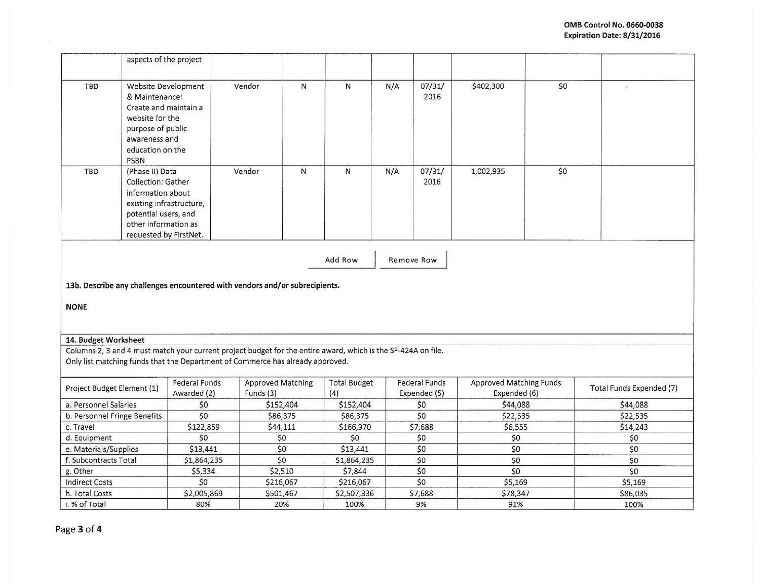|                                                                                                                     | aspects of the project                                                                                                                                                  |                              |                                                                                                                                                                                                 |                            |     |                                      |                                                |     |                          |
|---------------------------------------------------------------------------------------------------------------------|-------------------------------------------------------------------------------------------------------------------------------------------------------------------------|------------------------------|-------------------------------------------------------------------------------------------------------------------------------------------------------------------------------------------------|----------------------------|-----|--------------------------------------|------------------------------------------------|-----|--------------------------|
| TBD                                                                                                                 | Website Development<br>& Maintenance:<br>Create and maintain a<br>website for the<br>purpose of public<br>awareness and<br>education on the<br><b>PSBN</b>              |                              | Vendor<br>N                                                                                                                                                                                     | $\mathsf{N}$<br>$\sim$     | N/A | 07/31/<br>2016                       | \$402,300                                      | \$0 |                          |
| TBD                                                                                                                 | (Phase II) Data<br><b>Collection: Gather</b><br>information about<br>existing infrastructure,<br>potential users, and<br>other information as<br>requested by FirstNet. |                              | Vendor<br>N                                                                                                                                                                                     | N                          | N/A | 07/31/<br>2016                       | 1,002,935                                      | \$0 |                          |
| Add Row<br>Remove Row<br>13b. Describe any challenges encountered with vendors and/or subrecipients.<br><b>NONE</b> |                                                                                                                                                                         |                              |                                                                                                                                                                                                 |                            |     |                                      |                                                |     |                          |
| 14. Budget Worksheet                                                                                                |                                                                                                                                                                         |                              |                                                                                                                                                                                                 |                            |     |                                      |                                                |     |                          |
|                                                                                                                     |                                                                                                                                                                         |                              | Columns 2, 3 and 4 must match your current project budget for the entire award, which is the SF-424A on file.<br>Only list matching funds that the Department of Commerce has already approved. |                            |     |                                      |                                                |     |                          |
| Project Budget Element (1)                                                                                          |                                                                                                                                                                         | Federal Funds<br>Awarded (2) | <b>Approved Matching</b><br>Funds (3)                                                                                                                                                           | <b>Total Budget</b><br>(4) |     | <b>Federal Funds</b><br>Expended (5) | <b>Approved Matching Funds</b><br>Expended (6) |     | Total Funds Expended (7) |
| a. Personnel Salaries                                                                                               |                                                                                                                                                                         | \$0                          | \$152,404                                                                                                                                                                                       | \$152,404                  |     | \$0                                  | \$44,088                                       |     | \$44,088                 |
| b. Personnel Fringe Benefits                                                                                        |                                                                                                                                                                         | \$0                          | \$86,375                                                                                                                                                                                        | \$86,375                   |     | \$0                                  | \$22,535                                       |     | \$22,535                 |
| c. Travel                                                                                                           |                                                                                                                                                                         | \$122,859                    | \$44,111                                                                                                                                                                                        | \$166,970                  |     | \$7,688                              | \$6,555                                        |     | \$14,243                 |
| d. Equipment                                                                                                        |                                                                                                                                                                         | \$0                          | \$0                                                                                                                                                                                             | \$0                        |     | \$0                                  | \$0                                            |     | \$0                      |
| e. Materials/Supplies                                                                                               |                                                                                                                                                                         | \$13,441                     | \$0                                                                                                                                                                                             | \$13,441                   |     | \$0                                  | \$0                                            |     | \$0                      |
| f. Subcontracts Total                                                                                               |                                                                                                                                                                         | \$1,864,235                  | \$0                                                                                                                                                                                             | \$1,864,235                |     | \$0                                  | \$0                                            |     | \$0                      |
| g. Other                                                                                                            |                                                                                                                                                                         | \$5,334                      | \$2,510                                                                                                                                                                                         | \$7,844                    |     | \$0                                  | \$0                                            |     | \$0                      |
| <b>Indirect Costs</b>                                                                                               |                                                                                                                                                                         | \$0                          | \$216,067                                                                                                                                                                                       | \$216,067                  |     | \$0                                  | \$5,169                                        |     | \$5,169                  |
| h. Total Costs                                                                                                      |                                                                                                                                                                         | \$2,005,869                  | \$501,467                                                                                                                                                                                       | \$2,507,336                |     | \$7,688                              | \$78,347                                       |     | \$86,035                 |
| i. % of Total                                                                                                       |                                                                                                                                                                         | 80%                          | 20%                                                                                                                                                                                             | 100%                       |     | 9%                                   | 91%                                            |     | 100%                     |